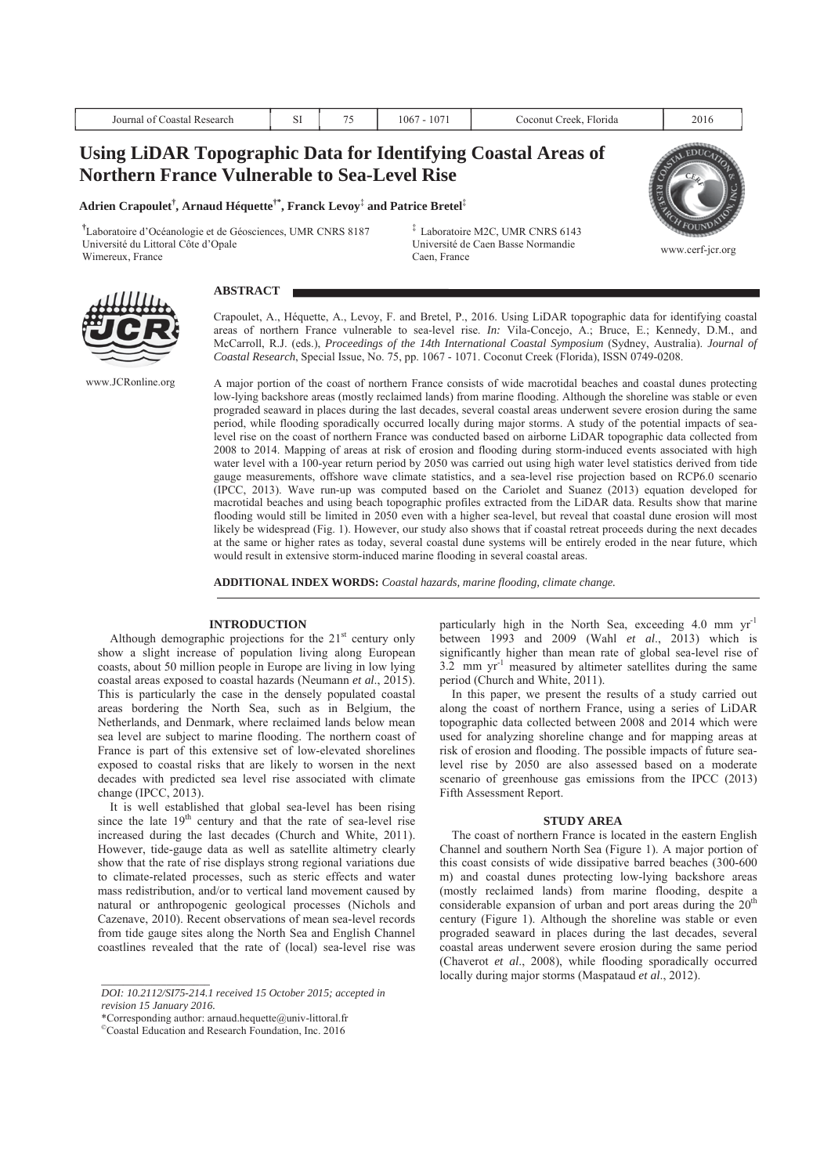| Lleing LiDAD Topographic Data for Identifying Coastal Areas of |  |                        |      |
|----------------------------------------------------------------|--|------------------------|------|
| Journal of Coastal Research                                    |  | Coconut Creek. Florida | 2016 |

# **Using LiDAR Topographic Data for Identifying Coastal Areas of Northern France Vulnerable to Sea-Level Rise**

**Adrien Crapoulet† , Arnaud Héquette†\*, Franck Levoy**‡  **and Patrice Bretel**‡

**†** Laboratoire d'Océanologie et de Géosciences, UMR CNRS 8187 Université du Littoral Côte d'Opale University of Direction Basse Normandie<br>Wimereux, France www.cerf-jcr.org<br>Caen, France Caen, France

‡ Laboratoire M2C, UMR CNRS 6143 Université de Caen Basse Normandie Caen, France



www.JCRonline.org

**ABSTRACT** 

Crapoulet, A., Héquette, A., Levoy, F. and Bretel, P., 2016. Using LiDAR topographic data for identifying coastal areas of northern France vulnerable to sea-level rise. *In:* Vila-Concejo, A.; Bruce, E.; Kennedy, D.M., and McCarroll, R.J. (eds.), *Proceedings of the 14th International Coastal Symposium* (Sydney, Australia). *Journal of Coastal Research*, Special Issue, No. 75, pp. 1067 - 1071. Coconut Creek (Florida), ISSN 0749-0208.

A major portion of the coast of northern France consists of wide macrotidal beaches and coastal dunes protecting low-lying backshore areas (mostly reclaimed lands) from marine flooding. Although the shoreline was stable or even prograded seaward in places during the last decades, several coastal areas underwent severe erosion during the same period, while flooding sporadically occurred locally during major storms. A study of the potential impacts of sealevel rise on the coast of northern France was conducted based on airborne LiDAR topographic data collected from 2008 to 2014. Mapping of areas at risk of erosion and flooding during storm-induced events associated with high water level with a 100-year return period by 2050 was carried out using high water level statistics derived from tide gauge measurements, offshore wave climate statistics, and a sea-level rise projection based on RCP6.0 scenario (IPCC, 2013). Wave run-up was computed based on the Cariolet and Suanez (2013) equation developed for macrotidal beaches and using beach topographic profiles extracted from the LiDAR data. Results show that marine flooding would still be limited in 2050 even with a higher sea-level, but reveal that coastal dune erosion will most likely be widespread (Fig. 1). However, our study also shows that if coastal retreat proceeds during the next decades at the same or higher rates as today, several coastal dune systems will be entirely eroded in the near future, which would result in extensive storm-induced marine flooding in several coastal areas.

**ADDITIONAL INDEX WORDS:** *Coastal hazards, marine flooding, climate change.* 

## **INTRODUCTION**

Although demographic projections for the  $21<sup>st</sup>$  century only show a slight increase of population living along European coasts, about 50 million people in Europe are living in low lying coastal areas exposed to coastal hazards (Neumann *et al*., 2015). This is particularly the case in the densely populated coastal areas bordering the North Sea, such as in Belgium, the Netherlands, and Denmark, where reclaimed lands below mean sea level are subject to marine flooding. The northern coast of France is part of this extensive set of low-elevated shorelines exposed to coastal risks that are likely to worsen in the next decades with predicted sea level rise associated with climate change (IPCC, 2013).

It is well established that global sea-level has been rising since the late  $19<sup>th</sup>$  century and that the rate of sea-level rise increased during the last decades (Church and White, 2011). However, tide-gauge data as well as satellite altimetry clearly show that the rate of rise displays strong regional variations due to climate-related processes, such as steric effects and water mass redistribution, and/or to vertical land movement caused by natural or anthropogenic geological processes (Nichols and Cazenave, 2010). Recent observations of mean sea-level records from tide gauge sites along the North Sea and English Channel coastlines revealed that the rate of (local) sea-level rise was

*\_\_\_\_\_\_\_\_\_\_\_\_\_\_\_\_\_\_\_\_* 

particularly high in the North Sea, exceeding 4.0 mm yr-1 between 1993 and 2009 (Wahl *et al*., 2013) which is significantly higher than mean rate of global sea-level rise of  $3.2$  mm yr<sup>-1</sup> measured by altimeter satellites during the same period (Church and White, 2011).

In this paper, we present the results of a study carried out along the coast of northern France, using a series of LiDAR topographic data collected between 2008 and 2014 which were used for analyzing shoreline change and for mapping areas at risk of erosion and flooding. The possible impacts of future sealevel rise by 2050 are also assessed based on a moderate scenario of greenhouse gas emissions from the IPCC (2013) Fifth Assessment Report.

### **STUDY AREA**

The coast of northern France is located in the eastern English Channel and southern North Sea (Figure 1). A major portion of this coast consists of wide dissipative barred beaches (300-600 m) and coastal dunes protecting low-lying backshore areas (mostly reclaimed lands) from marine flooding, despite a considerable expansion of urban and port areas during the  $20<sup>th</sup>$ century (Figure 1). Although the shoreline was stable or even prograded seaward in places during the last decades, several coastal areas underwent severe erosion during the same period (Chaverot *et al*., 2008), while flooding sporadically occurred locally during major storms (Maspataud *et al*., 2012).

*DOI: 10.2112/SI75-214.1 received 15 October 2015; accepted in revision 15 January 2016.* 

<sup>\*</sup>Corresponding author: arnaud.hequette@univ-littoral.fr

<sup>©</sup>Coastal Education and Research Foundation, Inc. 2016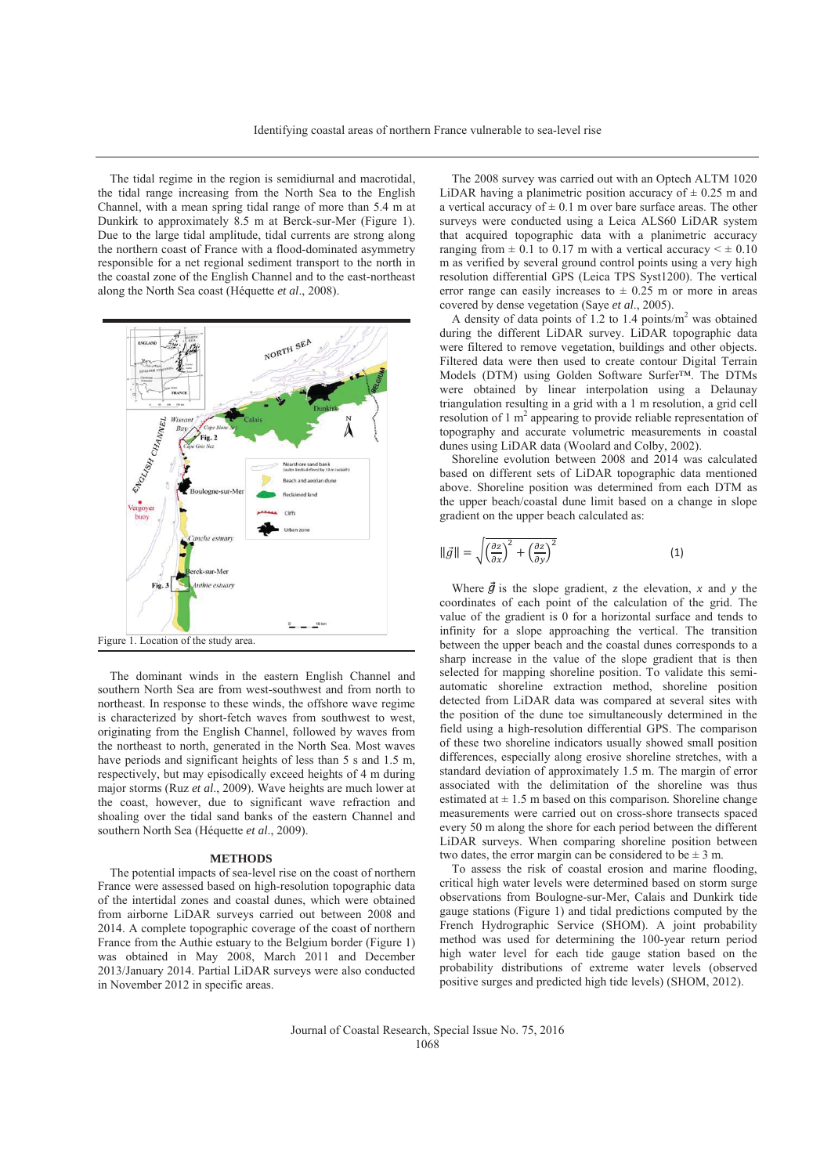The tidal regime in the region is semidiurnal and macrotidal, the tidal range increasing from the North Sea to the English Channel, with a mean spring tidal range of more than 5.4 m at Dunkirk to approximately 8.5 m at Berck-sur-Mer (Figure 1). Due to the large tidal amplitude, tidal currents are strong along the northern coast of France with a flood-dominated asymmetry responsible for a net regional sediment transport to the north in the coastal zone of the English Channel and to the east-northeast along the North Sea coast (Héquette *et al*., 2008).



The dominant winds in the eastern English Channel and southern North Sea are from west-southwest and from north to northeast. In response to these winds, the offshore wave regime is characterized by short-fetch waves from southwest to west, originating from the English Channel, followed by waves from the northeast to north, generated in the North Sea. Most waves have periods and significant heights of less than 5 s and 1.5 m. respectively, but may episodically exceed heights of 4 m during major storms (Ruz *et al*., 2009). Wave heights are much lower at the coast, however, due to significant wave refraction and shoaling over the tidal sand banks of the eastern Channel and southern North Sea (Héquette *et al*., 2009).

### **METHODS**

The potential impacts of sea-level rise on the coast of northern France were assessed based on high-resolution topographic data of the intertidal zones and coastal dunes, which were obtained from airborne LiDAR surveys carried out between 2008 and 2014. A complete topographic coverage of the coast of northern France from the Authie estuary to the Belgium border (Figure 1) was obtained in May 2008, March 2011 and December 2013/January 2014. Partial LiDAR surveys were also conducted in November 2012 in specific areas.

The 2008 survey was carried out with an Optech ALTM 1020 LiDAR having a planimetric position accuracy of  $\pm$  0.25 m and a vertical accuracy of  $\pm$  0.1 m over bare surface areas. The other surveys were conducted using a Leica ALS60 LiDAR system that acquired topographic data with a planimetric accuracy ranging from  $\pm$  0.1 to 0.17 m with a vertical accuracy  $\leq \pm$  0.10 m as verified by several ground control points using a very high resolution differential GPS (Leica TPS Syst1200). The vertical error range can easily increases to  $\pm$  0.25 m or more in areas covered by dense vegetation (Saye *et al*., 2005).

A density of data points of 1.2 to 1.4 points/m<sup>2</sup> was obtained during the different LiDAR survey. LiDAR topographic data were filtered to remove vegetation, buildings and other objects. Filtered data were then used to create contour Digital Terrain Models (DTM) using Golden Software Surfer™. The DTMs were obtained by linear interpolation using a Delaunay triangulation resulting in a grid with a 1 m resolution, a grid cell resolution of 1 m<sup>2</sup> appearing to provide reliable representation of topography and accurate volumetric measurements in coastal dunes using LiDAR data (Woolard and Colby, 2002).

Shoreline evolution between 2008 and 2014 was calculated based on different sets of LiDAR topographic data mentioned above. Shoreline position was determined from each DTM as the upper beach/coastal dune limit based on a change in slope gradient on the upper beach calculated as:

$$
\|\vec{g}\| = \sqrt{\left(\frac{\partial z}{\partial x}\right)^2 + \left(\frac{\partial z}{\partial y}\right)^2} \tag{1}
$$

Where  $\vec{g}$  is the slope gradient, *z* the elevation, *x* and *y* the coordinates of each point of the calculation of the grid. The value of the gradient is 0 for a horizontal surface and tends to infinity for a slope approaching the vertical. The transition between the upper beach and the coastal dunes corresponds to a sharp increase in the value of the slope gradient that is then selected for mapping shoreline position. To validate this semiautomatic shoreline extraction method, shoreline position detected from LiDAR data was compared at several sites with the position of the dune toe simultaneously determined in the field using a high-resolution differential GPS. The comparison of these two shoreline indicators usually showed small position differences, especially along erosive shoreline stretches, with a standard deviation of approximately 1.5 m. The margin of error associated with the delimitation of the shoreline was thus estimated at  $\pm$  1.5 m based on this comparison. Shoreline change measurements were carried out on cross-shore transects spaced every 50 m along the shore for each period between the different LiDAR surveys. When comparing shoreline position between two dates, the error margin can be considered to be  $\pm 3$  m.

To assess the risk of coastal erosion and marine flooding, critical high water levels were determined based on storm surge observations from Boulogne-sur-Mer, Calais and Dunkirk tide gauge stations (Figure 1) and tidal predictions computed by the French Hydrographic Service (SHOM). A joint probability method was used for determining the 100-year return period high water level for each tide gauge station based on the probability distributions of extreme water levels (observed positive surges and predicted high tide levels) (SHOM, 2012).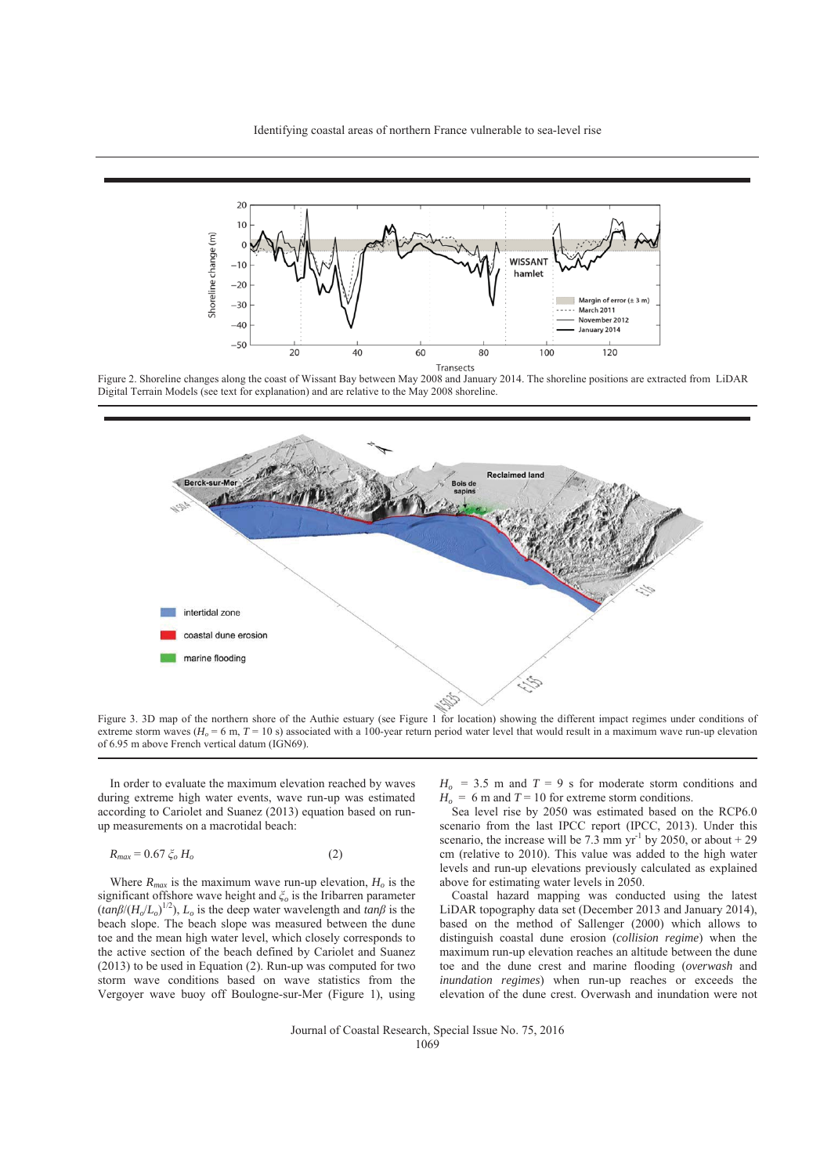

Figure 2. Shoreline changes along the coast of Wissant Bay between May 2008 and January 2014. The shoreline positions are extracted from LiDAR Digital Terrain Models (see text for explanation) and are relative to the May 2008 shoreline.



Figure 3. 3D map of the northern shore of the Authie estuary (see Figure 1 for location) showing the different impact regimes under conditions of extreme storm waves ( $H_0 = 6$  m,  $T = 10$  s) associated with a 100-year return period water level that would result in a maximum wave run-up elevation of 6.95 m above French vertical datum (IGN69).

In order to evaluate the maximum elevation reached by waves during extreme high water events, wave run-up was estimated according to Cariolet and Suanez (2013) equation based on runup measurements on a macrotidal beach:

$$
R_{max} = 0.67 \xi_o H_o \tag{2}
$$

Where  $R_{max}$  is the maximum wave run-up elevation,  $H_o$  is the significant offshore wave height and *ȟo* is the Iribarren parameter  $(tan\beta/(H_o/L_o)^{1/2})$ ,  $L_o$  is the deep water wavelength and  $tan\beta$  is the beach slope. The beach slope was measured between the dune toe and the mean high water level, which closely corresponds to the active section of the beach defined by Cariolet and Suanez (2013) to be used in Equation (2). Run-up was computed for two storm wave conditions based on wave statistics from the Vergoyer wave buoy off Boulogne-sur-Mer (Figure 1), using

 $H<sub>o</sub>$  = 3.5 m and  $T = 9$  s for moderate storm conditions and  $H_0 = 6$  m and  $T = 10$  for extreme storm conditions.

Sea level rise by 2050 was estimated based on the RCP6.0 scenario from the last IPCC report (IPCC, 2013). Under this scenario, the increase will be 7.3 mm yr<sup>-1</sup> by 2050, or about  $+29$ cm (relative to 2010). This value was added to the high water levels and run-up elevations previously calculated as explained above for estimating water levels in 2050.

Coastal hazard mapping was conducted using the latest LiDAR topography data set (December 2013 and January 2014), based on the method of Sallenger (2000) which allows to distinguish coastal dune erosion (*collision regime*) when the maximum run-up elevation reaches an altitude between the dune toe and the dune crest and marine flooding (*overwash* and *inundation regimes*) when run-up reaches or exceeds the elevation of the dune crest. Overwash and inundation were not

Journal of Coastal Research, Special Issue No. 75, 2016 1069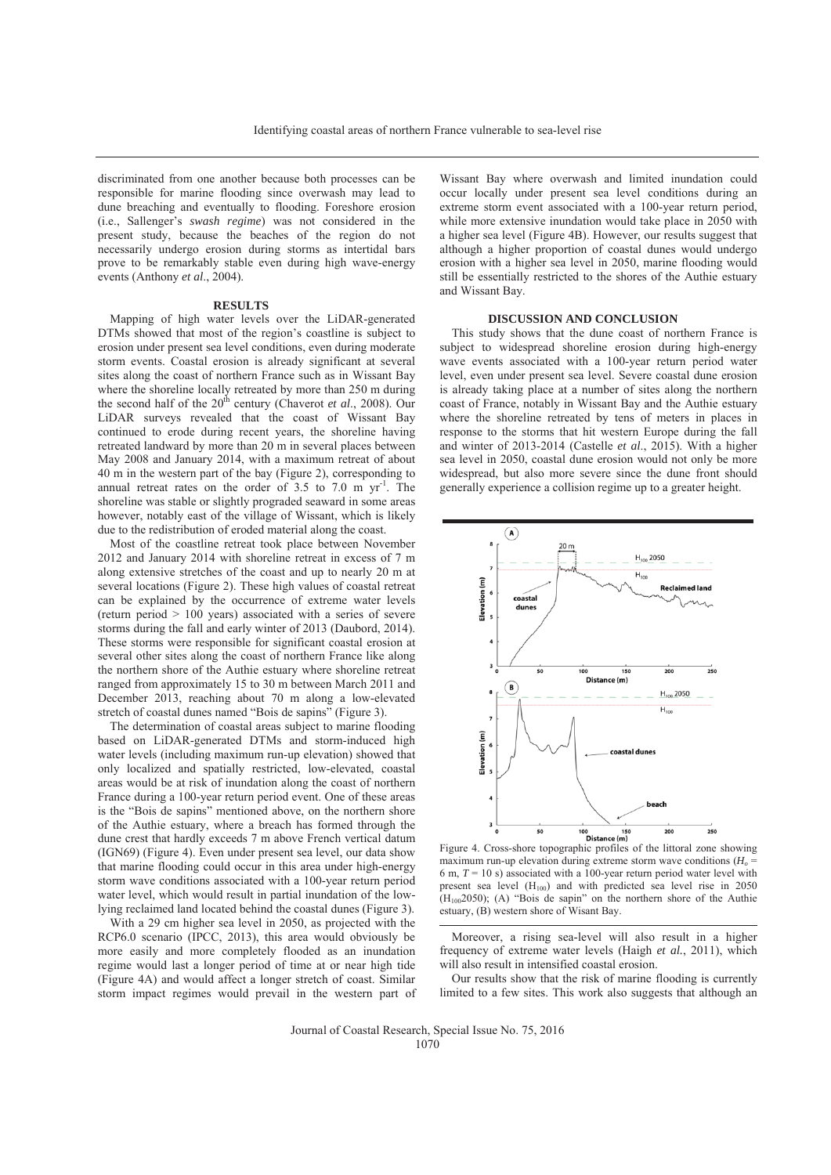discriminated from one another because both processes can be responsible for marine flooding since overwash may lead to dune breaching and eventually to flooding. Foreshore erosion (i.e., Sallenger's *swash regime*) was not considered in the present study, because the beaches of the region do not necessarily undergo erosion during storms as intertidal bars prove to be remarkably stable even during high wave-energy events (Anthony *et al*., 2004).

#### **RESULTS**

Mapping of high water levels over the LiDAR-generated DTMs showed that most of the region's coastline is subject to erosion under present sea level conditions, even during moderate storm events. Coastal erosion is already significant at several sites along the coast of northern France such as in Wissant Bay where the shoreline locally retreated by more than 250 m during the second half of the  $20<sup>th</sup>$  century (Chaverot *et al.*, 2008). Our LiDAR surveys revealed that the coast of Wissant Bay continued to erode during recent years, the shoreline having retreated landward by more than 20 m in several places between May 2008 and January 2014, with a maximum retreat of about 40 m in the western part of the bay (Figure 2), corresponding to annual retreat rates on the order of  $3.5$  to  $7.0$  m yr<sup>-1</sup>. The shoreline was stable or slightly prograded seaward in some areas however, notably east of the village of Wissant, which is likely due to the redistribution of eroded material along the coast.

Most of the coastline retreat took place between November 2012 and January 2014 with shoreline retreat in excess of 7 m along extensive stretches of the coast and up to nearly 20 m at several locations (Figure 2). These high values of coastal retreat can be explained by the occurrence of extreme water levels (return period > 100 years) associated with a series of severe storms during the fall and early winter of 2013 (Daubord, 2014). These storms were responsible for significant coastal erosion at several other sites along the coast of northern France like along the northern shore of the Authie estuary where shoreline retreat ranged from approximately 15 to 30 m between March 2011 and December 2013, reaching about 70 m along a low-elevated stretch of coastal dunes named "Bois de sapins" (Figure 3).

The determination of coastal areas subject to marine flooding based on LiDAR-generated DTMs and storm-induced high water levels (including maximum run-up elevation) showed that only localized and spatially restricted, low-elevated, coastal areas would be at risk of inundation along the coast of northern France during a 100-year return period event. One of these areas is the "Bois de sapins" mentioned above, on the northern shore of the Authie estuary, where a breach has formed through the dune crest that hardly exceeds 7 m above French vertical datum (IGN69) (Figure 4). Even under present sea level, our data show that marine flooding could occur in this area under high-energy storm wave conditions associated with a 100-year return period water level, which would result in partial inundation of the lowlying reclaimed land located behind the coastal dunes (Figure 3).

With a 29 cm higher sea level in 2050, as projected with the RCP6.0 scenario (IPCC, 2013), this area would obviously be more easily and more completely flooded as an inundation regime would last a longer period of time at or near high tide (Figure 4A) and would affect a longer stretch of coast. Similar storm impact regimes would prevail in the western part of

Wissant Bay where overwash and limited inundation could occur locally under present sea level conditions during an extreme storm event associated with a 100-year return period, while more extensive inundation would take place in 2050 with a higher sea level (Figure 4B). However, our results suggest that although a higher proportion of coastal dunes would undergo erosion with a higher sea level in 2050, marine flooding would still be essentially restricted to the shores of the Authie estuary and Wissant Bay.

### **DISCUSSION AND CONCLUSION**

This study shows that the dune coast of northern France is subject to widespread shoreline erosion during high-energy wave events associated with a 100-year return period water level, even under present sea level. Severe coastal dune erosion is already taking place at a number of sites along the northern coast of France, notably in Wissant Bay and the Authie estuary where the shoreline retreated by tens of meters in places in response to the storms that hit western Europe during the fall and winter of 2013-2014 (Castelle *et al*., 2015). With a higher sea level in 2050, coastal dune erosion would not only be more widespread, but also more severe since the dune front should generally experience a collision regime up to a greater height.



Figure 4. Cross-shore topographic profiles of the littoral zone showing maximum run-up elevation during extreme storm wave conditions  $(H<sub>o</sub> =$ 6 m,  $T = 10$  s) associated with a 100-year return period water level with present sea level (H<sub>100</sub>) and with predicted sea level rise in 2050  $(H_{100}2050)$ ; (A) "Bois de sapin" on the northern shore of the Authie estuary, (B) western shore of Wisant Bay.

Moreover, a rising sea-level will also result in a higher frequency of extreme water levels (Haigh *et al.*, 2011), which will also result in intensified coastal erosion.

Our results show that the risk of marine flooding is currently limited to a few sites. This work also suggests that although an